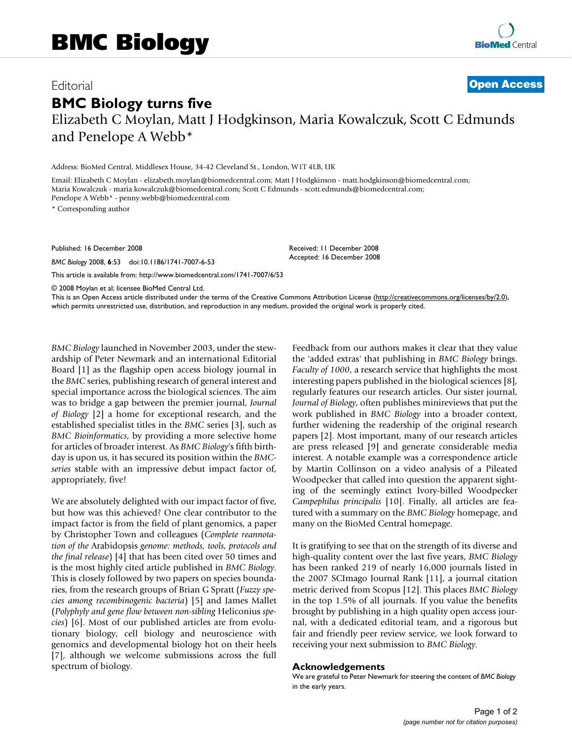## Editorial **[Open Access](http://www.biomedcentral.com/info/about/charter/) BMC Biology turns five**

Elizabeth C Moylan, Matt J Hodgkinson, Maria Kowalczuk, Scott C Edmunds and Penelope A Webb\*

Address: BioMed Central, Middlesex House, 34-42 Cleveland St., London, W1T 4LB, UK

Email: Elizabeth C Moylan - elizabeth.moylan@biomedcentral.com; Matt J Hodgkinson - matt.hodgkinson@biomedcentral.com; Maria Kowalczuk - maria.kowalczuk@biomedcentral.com; Scott C Edmunds - scott.edmunds@biomedcentral.com; Penelope A Webb\* - penny.webb@biomedcentral.com

\* Corresponding author

Published: 16 December 2008

*BMC Biology* 2008, **6**:53 doi:10.1186/1741-7007-6-53

[This article is available from: http://www.biomedcentral.com/1741-7007/6/53](http://www.biomedcentral.com/1741-7007/6/53)

© 2008 Moylan et al; licensee BioMed Central Ltd.

This is an Open Access article distributed under the terms of the Creative Commons Attribution License [\(http://creativecommons.org/licenses/by/2.0\)](http://creativecommons.org/licenses/by/2.0), which permits unrestricted use, distribution, and reproduction in any medium, provided the original work is properly cited.

Received: 11 December 2008 Accepted: 16 December 2008

*BMC Biology* launched in November 2003, under the stewardship of Peter Newmark and an international Editorial Board [1] as the flagship open access biology journal in the *BMC* series, publishing research of general interest and special importance across the biological sciences. The aim was to bridge a gap between the premier journal, *Journal of Biology* [2] a home for exceptional research, and the established specialist titles in the *BMC* series [3], such as *BMC Bioinformatics*, by providing a more selective home for articles of broader interest. As *BMC Biology*'s fifth birthday is upon us, it has secured its position within the *BMCseries* stable with an impressive debut impact factor of, appropriately, five!

We are absolutely delighted with our impact factor of five, but how was this achieved? One clear contributor to the impact factor is from the field of plant genomics, a paper by Christopher Town and colleagues (*Complete reannotation of the* Arabidopsis *genome: methods, tools, protocols and the final release*) [4] that has been cited over 50 times and is the most highly cited article published in *BMC Biology*. This is closely followed by two papers on species boundaries, from the research groups of Brian G Spratt (*Fuzzy species among recombinogenic bacteria*) [5] and James Mallet (*Polyphyly and gene flow between non-sibling* Heliconius *species*) [6]. Most of our published articles are from evolutionary biology, cell biology and neuroscience with genomics and developmental biology hot on their heels [7], although we welcome submissions across the full spectrum of biology.

Feedback from our authors makes it clear that they value the 'added extras' that publishing in *BMC Biology* brings. *Faculty of 1000*, a research service that highlights the most interesting papers published in the biological sciences [8], regularly features our research articles. Our sister journal, *Journal of Biology*, often publishes minireviews that put the work published in *BMC Biology* into a broader context, further widening the readership of the original research papers [2]. Most important, many of our research articles are press released [9] and generate considerable media interest. A notable example was a correspondence article by Martin Collinson on a video analysis of a Pileated Woodpecker that called into question the apparent sighting of the seemingly extinct Ivory-billed Woodpecker *Campephilus principalis* [10]. Finally, all articles are featured with a summary on the *BMC Biology* homepage, and many on the BioMed Central homepage.

It is gratifying to see that on the strength of its diverse and high-quality content over the last five years, *BMC Biology* has been ranked 219 of nearly 16,000 journals listed in the 2007 SCImago Journal Rank [11], a journal citation metric derived from Scopus [12]. This places *BMC Biology* in the top 1.5% of all journals. If you value the benefits brought by publishing in a high quality open access journal, with a dedicated editorial team, and a rigorous but fair and friendly peer review service, we look forward to receiving your next submission to *BMC Biology*.

## **Acknowledgements**

We are grateful to Peter Newmark for steering the content of *BMC Biology*  in the early years.